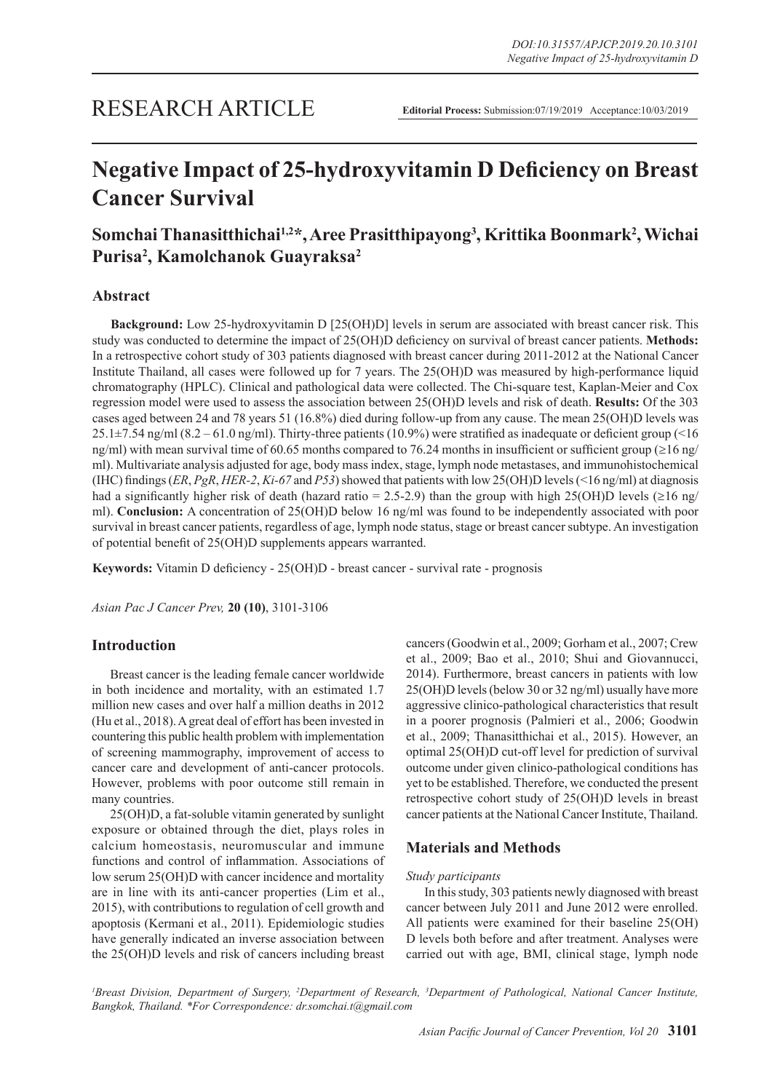# **Negative Impact of 25-hydroxyvitamin D Deficiency on Breast Cancer Survival**

# **Somchai Thanasitthichai1,2\*, Aree Prasitthipayong3 , Krittika Boonmark2 , Wichai Purisa2 , Kamolchanok Guayraksa2**

# **Abstract**

**Background:** Low 25-hydroxyvitamin D [25(OH)D] levels in serum are associated with breast cancer risk. This study was conducted to determine the impact of 25(OH)D deficiency on survival of breast cancer patients. **Methods:**  In a retrospective cohort study of 303 patients diagnosed with breast cancer during 2011-2012 at the National Cancer Institute Thailand, all cases were followed up for 7 years. The 25(OH)D was measured by high-performance liquid chromatography (HPLC). Clinical and pathological data were collected. The Chi-square test, Kaplan-Meier and Cox regression model were used to assess the association between 25(OH)D levels and risk of death. **Results:** Of the 303 cases aged between 24 and 78 years 51 (16.8%) died during follow-up from any cause. The mean 25(OH)D levels was  $25.1\pm7.54$  ng/ml (8.2 – 61.0 ng/ml). Thirty-three patients (10.9%) were stratified as inadequate or deficient group (<16 ng/ml) with mean survival time of 60.65 months compared to 76.24 months in insufficient or sufficient group (≥16 ng/ ml). Multivariate analysis adjusted for age, body mass index, stage, lymph node metastases, and immunohistochemical (IHC) findings (*ER*, *PgR*, *HER-2*, *Ki-67* and *P53*) showed that patients with low 25(OH)D levels (<16 ng/ml) at diagnosis had a significantly higher risk of death (hazard ratio = 2.5-2.9) than the group with high 25(OH)D levels (≥16 ng/ ml). **Conclusion:** A concentration of 25(OH)D below 16 ng/ml was found to be independently associated with poor survival in breast cancer patients, regardless of age, lymph node status, stage or breast cancer subtype. An investigation of potential benefit of 25(OH)D supplements appears warranted.

**Keywords:** Vitamin D deficiency - 25(OH)D - breast cancer - survival rate - prognosis

*Asian Pac J Cancer Prev,* **20 (10)**, 3101-3106

# **Introduction**

Breast cancer is the leading female cancer worldwide in both incidence and mortality, with an estimated 1.7 million new cases and over half a million deaths in 2012 (Hu et al., 2018). A great deal of effort has been invested in countering this public health problem with implementation of screening mammography, improvement of access to cancer care and development of anti-cancer protocols. However, problems with poor outcome still remain in many countries.

25(OH)D, a fat-soluble vitamin generated by sunlight exposure or obtained through the diet, plays roles in calcium homeostasis, neuromuscular and immune functions and control of inflammation. Associations of low serum 25(OH)D with cancer incidence and mortality are in line with its anti-cancer properties (Lim et al., 2015), with contributions to regulation of cell growth and apoptosis (Kermani et al., 2011). Epidemiologic studies have generally indicated an inverse association between the 25(OH)D levels and risk of cancers including breast

cancers (Goodwin et al., 2009; Gorham et al., 2007; Crew et al., 2009; Bao et al., 2010; Shui and Giovannucci, 2014). Furthermore, breast cancers in patients with low 25(OH)D levels (below 30 or 32 ng/ml) usually have more aggressive clinico-pathological characteristics that result in a poorer prognosis (Palmieri et al., 2006; Goodwin et al., 2009; Thanasitthichai et al., 2015). However, an optimal 25(OH)D cut-off level for prediction of survival outcome under given clinico-pathological conditions has yet to be established. Therefore, we conducted the present retrospective cohort study of 25(OH)D levels in breast cancer patients at the National Cancer Institute, Thailand.

# **Materials and Methods**

#### *Study participants*

In this study, 303 patients newly diagnosed with breast cancer between July 2011 and June 2012 were enrolled. All patients were examined for their baseline 25(OH) D levels both before and after treatment. Analyses were carried out with age, BMI, clinical stage, lymph node

*1 Breast Division, Department of Surgery, 2 Department of Research, 3 Department of Pathological, National Cancer Institute, Bangkok, Thailand. \*For Correspondence: dr.somchai.t@gmail.com*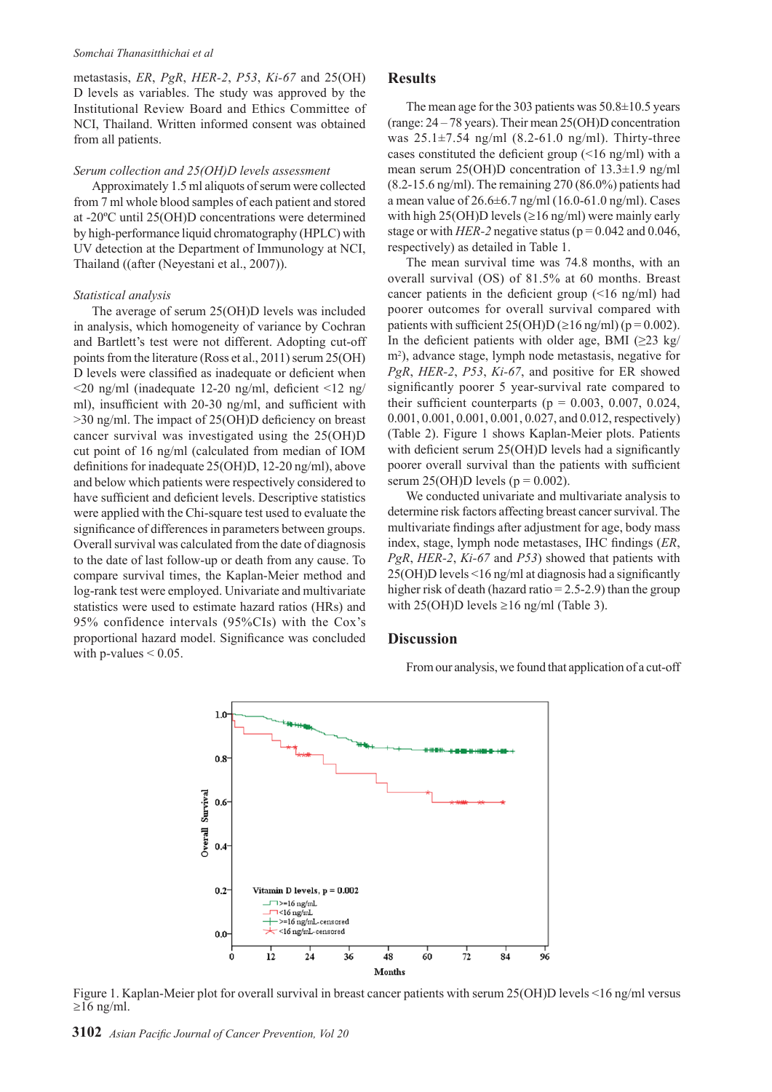#### *Somchai Thanasitthichai et al*

metastasis, *ER*, *PgR*, *HER-2*, *P53*, *Ki-67* and 25(OH) D levels as variables. The study was approved by the Institutional Review Board and Ethics Committee of NCI, Thailand. Written informed consent was obtained from all patients.

#### *Serum collection and 25(OH)D levels assessment*

Approximately 1.5 ml aliquots of serum were collected from 7 ml whole blood samples of each patient and stored at -20ºC until 25(OH)D concentrations were determined by high-performance liquid chromatography (HPLC) with UV detection at the Department of Immunology at NCI, Thailand ((after (Neyestani et al., 2007)).

#### *Statistical analysis*

The average of serum 25(OH)D levels was included in analysis, which homogeneity of variance by Cochran and Bartlett's test were not different. Adopting cut-off points from the literature (Ross et al., 2011) serum 25(OH) D levels were classified as inadequate or deficient when  $\leq$ 20 ng/ml (inadequate 12-20 ng/ml, deficient  $\leq$ 12 ng/ ml), insufficient with 20-30 ng/ml, and sufficient with >30 ng/ml. The impact of 25(OH)D deficiency on breast cancer survival was investigated using the 25(OH)D cut point of 16 ng/ml (calculated from median of IOM definitions for inadequate 25(OH)D, 12-20 ng/ml), above and below which patients were respectively considered to have sufficient and deficient levels. Descriptive statistics were applied with the Chi-square test used to evaluate the significance of differences in parameters between groups. Overall survival was calculated from the date of diagnosis to the date of last follow-up or death from any cause. To compare survival times, the Kaplan-Meier method and log-rank test were employed. Univariate and multivariate statistics were used to estimate hazard ratios (HRs) and 95% confidence intervals (95%CIs) with the Cox's proportional hazard model. Significance was concluded with p-values  $\leq 0.05$ .

#### **Results**

The mean age for the 303 patients was  $50.8\pm10.5$  years (range: 24 – 78 years). Their mean 25(OH)D concentration was  $25.1 \pm 7.54$  ng/ml  $(8.2 - 61.0$  ng/ml). Thirty-three cases constituted the deficient group (<16 ng/ml) with a mean serum 25(OH)D concentration of 13.3±1.9 ng/ml (8.2-15.6 ng/ml). The remaining 270 (86.0%) patients had a mean value of 26.6±6.7 ng/ml (16.0-61.0 ng/ml). Cases with high 25(OH)D levels ( $\geq$ 16 ng/ml) were mainly early stage or with *HER-2* negative status ( $p = 0.042$  and 0.046, respectively) as detailed in Table 1.

The mean survival time was 74.8 months, with an overall survival (OS) of 81.5% at 60 months. Breast cancer patients in the deficient group  $(\leq 16 \text{ ng/ml})$  had poorer outcomes for overall survival compared with patients with sufficient  $25(OH)D (≥16 ng/ml) (p = 0.002)$ . In the deficient patients with older age, BMI ( $\geq$ 23 kg/ m<sup>2</sup>), advance stage, lymph node metastasis, negative for *PgR*, *HER-2*, *P53*, *Ki-67*, and positive for ER showed significantly poorer 5 year-survival rate compared to their sufficient counterparts ( $p = 0.003, 0.007, 0.024$ , 0.001, 0.001, 0.001, 0.001, 0.027, and 0.012, respectively) (Table 2). Figure 1 shows Kaplan-Meier plots. Patients with deficient serum 25(OH)D levels had a significantly poorer overall survival than the patients with sufficient serum 25(OH)D levels ( $p = 0.002$ ).

We conducted univariate and multivariate analysis to determine risk factors affecting breast cancer survival. The multivariate findings after adjustment for age, body mass index, stage, lymph node metastases, IHC findings (*ER*, *PgR*, *HER-2*, *Ki-67* and *P53*) showed that patients with 25(OH)D levels <16 ng/ml at diagnosis had a significantly higher risk of death (hazard ratio  $= 2.5 - 2.9$ ) than the group with 25(OH)D levels  $\geq$ 16 ng/ml (Table 3).

#### **Discussion**

From our analysis, we found that application of a cut-off



Figure 1. Kaplan-Meier plot for overall survival in breast cancer patients with serum 25(OH)D levels <16 ng/ml versus  $\geq$ 16 ng/ml.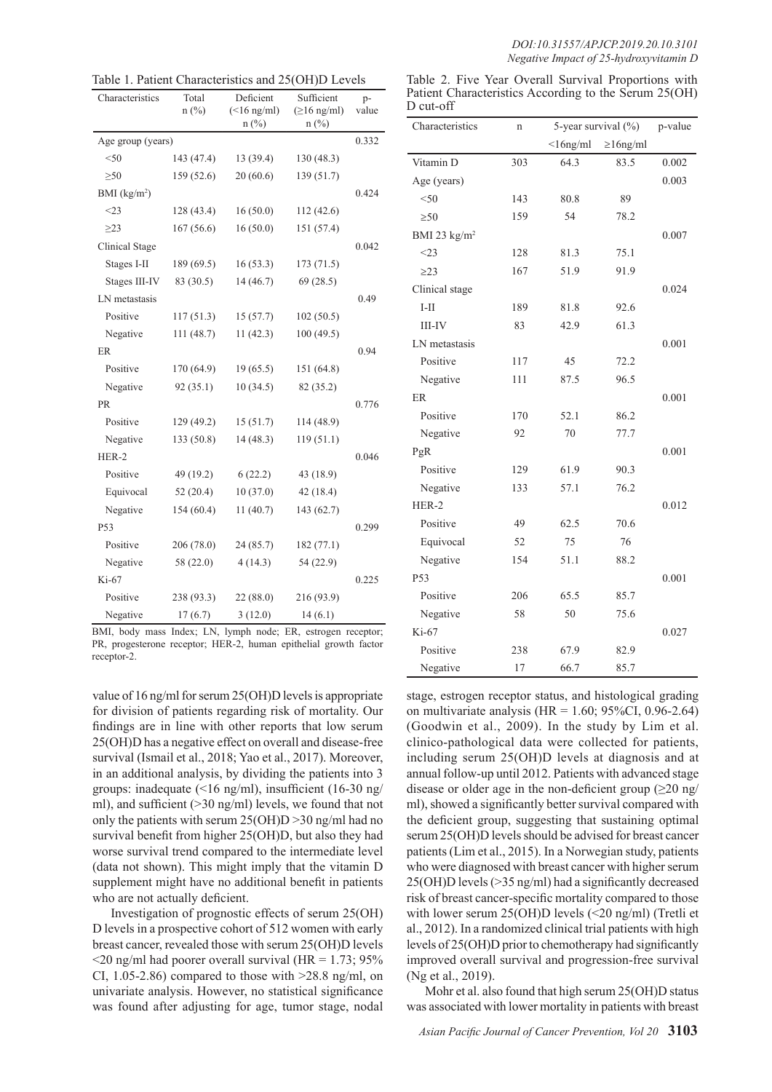| Table 1. Patient Characteristics and 25(OH)D Levels |  |  |  |  |
|-----------------------------------------------------|--|--|--|--|
|-----------------------------------------------------|--|--|--|--|

| Characteristics   | Total<br>$n$ (%) | Deficient<br>$(\leq 16$ ng/ml)<br>$n(^{0}/_{0})$ | Sufficient<br>$(\geq 16$ ng/ml)<br>$n$ (%) | p-<br>value |
|-------------------|------------------|--------------------------------------------------|--------------------------------------------|-------------|
| Age group (years) |                  |                                                  |                                            | 0.332       |
| $50$              | 143 (47.4)       | 13(39.4)                                         | 130(48.3)                                  |             |
| $\geq 50$         | 159 (52.6)       | 20(60.6)                                         | 139 (51.7)                                 |             |
| BMI $(kg/m2)$     |                  |                                                  |                                            | 0.424       |
| $<$ 23            | 128 (43.4)       | 16(50.0)                                         | 112(42.6)                                  |             |
| $\geq$ 23         | 167(56.6)        | 16(50.0)                                         | 151 (57.4)                                 |             |
| Clinical Stage    |                  |                                                  |                                            | 0.042       |
| Stages I-II       | 189 (69.5)       | 16(53.3)                                         | 173(71.5)                                  |             |
| Stages III-IV     | 83 (30.5)        | 14(46.7)                                         | 69(28.5)                                   |             |
| LN metastasis     |                  |                                                  |                                            | 0.49        |
| Positive          | 117(51.3)        | 15(57.7)                                         | 102(50.5)                                  |             |
| Negative          | 111 (48.7)       | 11(42.3)                                         | 100(49.5)                                  |             |
| ER                |                  |                                                  |                                            | 0.94        |
| Positive          | 170 (64.9)       | 19(65.5)                                         | 151 (64.8)                                 |             |
| Negative          | 92(35.1)         | 10(34.5)                                         | 82 (35.2)                                  |             |
| <b>PR</b>         |                  |                                                  |                                            | 0.776       |
| Positive          | 129 (49.2)       | 15(51.7)                                         | 114 (48.9)                                 |             |
| Negative          | 133 (50.8)       | 14(48.3)                                         | 119(51.1)                                  |             |
| HER-2             |                  |                                                  |                                            | 0.046       |
| Positive          | 49 (19.2)        | 6(22.2)                                          | 43 (18.9)                                  |             |
| Equivocal         | 52(20.4)         | 10(37.0)                                         | 42(18.4)                                   |             |
| Negative          | 154 (60.4)       | 11(40.7)                                         | 143 (62.7)                                 |             |
| P53               |                  |                                                  |                                            | 0.299       |
| Positive          | 206(78.0)        | 24 (85.7)                                        | 182(77.1)                                  |             |
| Negative          | 58 (22.0)        | 4(14.3)                                          | 54 (22.9)                                  |             |
| Ki-67             |                  |                                                  |                                            | 0.225       |
| Positive          | 238 (93.3)       | 22 (88.0)                                        | 216 (93.9)                                 |             |
| Negative          | 17(6.7)          | 3(12.0)                                          | 14(6.1)                                    |             |

PR, progesterone receptor; HER-2, human epithelial growth factor receptor-2.

value of 16 ng/ml for serum 25(OH)D levels is appropriate for division of patients regarding risk of mortality. Our findings are in line with other reports that low serum 25(OH)D has a negative effect on overall and disease-free survival (Ismail et al., 2018; Yao et al., 2017). Moreover, in an additional analysis, by dividing the patients into 3 groups: inadequate (<16 ng/ml), insufficient (16-30 ng/ ml), and sufficient (>30 ng/ml) levels, we found that not only the patients with serum 25(OH)D >30 ng/ml had no survival benefit from higher 25(OH)D, but also they had worse survival trend compared to the intermediate level (data not shown). This might imply that the vitamin D supplement might have no additional benefit in patients who are not actually deficient.

Investigation of prognostic effects of serum 25(OH) D levels in a prospective cohort of 512 women with early breast cancer, revealed those with serum 25(OH)D levels  $\leq$ 20 ng/ml had poorer overall survival (HR = 1.73; 95%) CI, 1.05-2.86) compared to those with  $>28.8$  ng/ml, on univariate analysis. However, no statistical significance was found after adjusting for age, tumor stage, nodal

|             |  |  | Table 2. Five Year Overall Survival Proportions with  |  |
|-------------|--|--|-------------------------------------------------------|--|
|             |  |  | Patient Characteristics According to the Serum 25(OH) |  |
| $D$ cut-off |  |  |                                                       |  |

| Characteristics        | n   | 5-year survival (%) |                 | p-value |
|------------------------|-----|---------------------|-----------------|---------|
|                        |     | $<$ 16ng/ml         | $\geq 16$ ng/ml |         |
| Vitamin D              | 303 | 64.3                | 83.5            | 0.002   |
| Age (years)            |     |                     |                 | 0.003   |
| < 50                   | 143 | 80.8                | 89              |         |
| $\geq 50$              | 159 | 54                  | 78.2            |         |
| BMI 23 $\text{kg/m}^2$ |     |                     |                 | 0.007   |
| $<$ 23                 | 128 | 81.3                | 75.1            |         |
| $\geq$ 23              | 167 | 51.9                | 91.9            |         |
| Clinical stage         |     |                     |                 | 0.024   |
| $I-II$                 | 189 | 81.8                | 92.6            |         |
| <b>III-IV</b>          | 83  | 42.9                | 61.3            |         |
| LN metastasis          |     |                     |                 | 0.001   |
| Positive               | 117 | 45                  | 72.2            |         |
| Negative               | 111 | 87.5                | 96.5            |         |
| ER                     |     |                     |                 | 0.001   |
| Positive               | 170 | 52.1                | 86.2            |         |
| Negative               | 92  | 70                  | 77.7            |         |
| PgR                    |     |                     |                 | 0.001   |
| Positive               | 129 | 61.9                | 90.3            |         |
| Negative               | 133 | 57.1                | 76.2            |         |
| HER-2                  |     |                     |                 | 0.012   |
| Positive               | 49  | 62.5                | 70.6            |         |
| Equivocal              | 52  | 75                  | 76              |         |
| Negative               | 154 | 51.1                | 88.2            |         |
| P53                    |     |                     |                 | 0.001   |
| Positive               | 206 | 65.5                | 85.7            |         |
| Negative               | 58  | 50                  | 75.6            |         |
| Ki-67                  |     |                     |                 | 0.027   |
| Positive               | 238 | 67.9                | 82.9            |         |
| Negative               | 17  | 66.7                | 85.7            |         |

stage, estrogen receptor status, and histological grading on multivariate analysis (HR =  $1.60$ ; 95%CI, 0.96-2.64) (Goodwin et al., 2009). In the study by Lim et al. clinico-pathological data were collected for patients, including serum 25(OH)D levels at diagnosis and at annual follow-up until 2012. Patients with advanced stage disease or older age in the non-deficient group  $(\geq 20 \text{ ng})$ ml), showed a significantly better survival compared with the deficient group, suggesting that sustaining optimal serum 25(OH)D levels should be advised for breast cancer patients (Lim et al., 2015). In a Norwegian study, patients who were diagnosed with breast cancer with higher serum 25(OH)D levels (>35 ng/ml) had a significantly decreased risk of breast cancer-specific mortality compared to those with lower serum 25(OH)D levels (<20 ng/ml) (Tretli et al., 2012). In a randomized clinical trial patients with high levels of 25(OH)D prior to chemotherapy had significantly improved overall survival and progression-free survival (Ng et al., 2019).

Mohr et al. also found that high serum 25(OH)D status was associated with lower mortality in patients with breast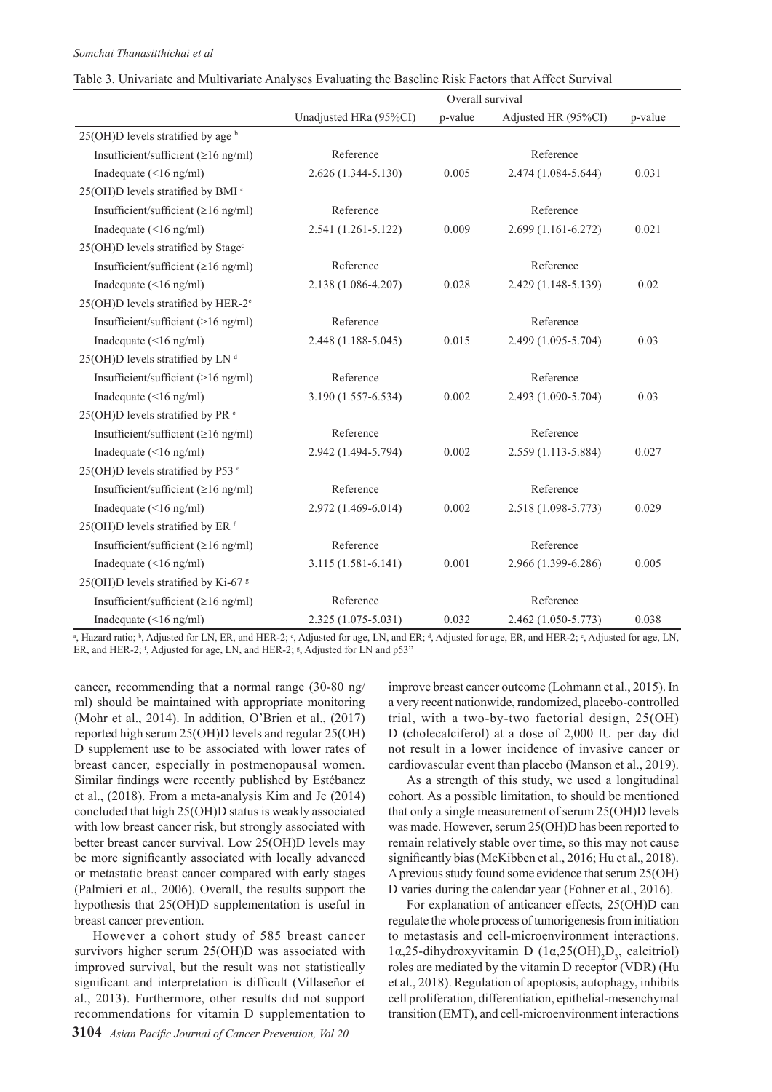|                                                 | Overall survival       |         |                     |         |
|-------------------------------------------------|------------------------|---------|---------------------|---------|
|                                                 | Unadjusted HRa (95%CI) | p-value | Adjusted HR (95%CI) | p-value |
| 25(OH)D levels stratified by age $\frac{b}{b}$  |                        |         |                     |         |
| Insufficient/sufficient ( $\geq 16$ ng/ml)      | Reference              |         | Reference           |         |
| Inadequate $(\leq 16$ ng/ml)                    | 2.626 (1.344-5.130)    | 0.005   | 2.474 (1.084-5.644) | 0.031   |
| 25(OH)D levels stratified by BMI c              |                        |         |                     |         |
| Insufficient/sufficient ( $\geq 16$ ng/ml)      | Reference              |         | Reference           |         |
| Inadequate $(\leq 16$ ng/ml)                    | 2.541 (1.261-5.122)    | 0.009   | 2.699 (1.161-6.272) | 0.021   |
| 25(OH)D levels stratified by Stage <sup>c</sup> |                        |         |                     |         |
| Insufficient/sufficient ( $\geq 16$ ng/ml)      | Reference              |         | Reference           |         |
| Inadequate $(\leq 16$ ng/ml)                    | 2.138 (1.086-4.207)    | 0.028   | 2.429 (1.148-5.139) | 0.02    |
| 25(OH)D levels stratified by HER-2°             |                        |         |                     |         |
| Insufficient/sufficient ( $\geq 16$ ng/ml)      | Reference              |         | Reference           |         |
| Inadequate $(\leq 16$ ng/ml)                    | 2.448 (1.188-5.045)    | 0.015   | 2.499 (1.095-5.704) | 0.03    |
| 25(OH)D levels stratified by LN <sup>d</sup>    |                        |         |                     |         |
| Insufficient/sufficient ( $\geq 16$ ng/ml)      | Reference              |         | Reference           |         |
| Inadequate $(\leq 16$ ng/ml)                    | 3.190 (1.557-6.534)    | 0.002   | 2.493 (1.090-5.704) | 0.03    |
| 25(OH)D levels stratified by PR <sup>e</sup>    |                        |         |                     |         |
| Insufficient/sufficient ( $\geq 16$ ng/ml)      | Reference              |         | Reference           |         |
| Inadequate $(\leq 16$ ng/ml)                    | 2.942 (1.494-5.794)    | 0.002   | 2.559 (1.113-5.884) | 0.027   |
| 25(OH)D levels stratified by P53 °              |                        |         |                     |         |
| Insufficient/sufficient ( $\geq 16$ ng/ml)      | Reference              |         | Reference           |         |
| Inadequate $(\leq 16$ ng/ml)                    | 2.972 (1.469-6.014)    | 0.002   | 2.518 (1.098-5.773) | 0.029   |
| 25(OH)D levels stratified by ER <sup>f</sup>    |                        |         |                     |         |
| Insufficient/sufficient ( $\geq 16$ ng/ml)      | Reference              |         | Reference           |         |
| Inadequate (<16 ng/ml)                          | 3.115 (1.581-6.141)    | 0.001   | 2.966 (1.399-6.286) | 0.005   |
| 25(OH)D levels stratified by Ki-67 <sup>g</sup> |                        |         |                     |         |
| Insufficient/sufficient (≥16 ng/ml)             | Reference              |         | Reference           |         |
| Inadequate $(\leq 16$ ng/ml)                    | 2.325 (1.075-5.031)    | 0.032   | 2.462 (1.050-5.773) | 0.038   |

| Table 3. Univariate and Multivariate Analyses Evaluating the Baseline Risk Factors that Affect Survival |  |  |
|---------------------------------------------------------------------------------------------------------|--|--|
|---------------------------------------------------------------------------------------------------------|--|--|

<sup>a</sup>, Hazard ratio; <sup>b</sup>, Adjusted for LN, ER, and HER-2; °, Adjusted for age, LN, and ER; <sup>d</sup>, Adjusted for age, ER, and HER-2; °, Adjusted for age, LN, ER, and HER-2;  $f$ , Adjusted for age, LN, and HER-2;  $g$ , Adjusted for LN and p53"

cancer, recommending that a normal range (30-80 ng/ ml) should be maintained with appropriate monitoring (Mohr et al., 2014). In addition, O'Brien et al., (2017) reported high serum 25(OH)D levels and regular 25(OH) D supplement use to be associated with lower rates of breast cancer, especially in postmenopausal women. Similar findings were recently published by Estébanez et al., (2018). From a meta-analysis Kim and Je (2014) concluded that high 25(OH)D status is weakly associated with low breast cancer risk, but strongly associated with better breast cancer survival. Low 25(OH)D levels may be more significantly associated with locally advanced or metastatic breast cancer compared with early stages (Palmieri et al., 2006). Overall, the results support the hypothesis that 25(OH)D supplementation is useful in breast cancer prevention.

However a cohort study of 585 breast cancer survivors higher serum 25(OH)D was associated with improved survival, but the result was not statistically significant and interpretation is difficult (Villaseñor et al., 2013). Furthermore, other results did not support recommendations for vitamin D supplementation to improve breast cancer outcome (Lohmann et al., 2015). In a very recent nationwide, randomized, placebo-controlled trial, with a two-by-two factorial design, 25(OH) D (cholecalciferol) at a dose of 2,000 IU per day did not result in a lower incidence of invasive cancer or cardiovascular event than placebo (Manson et al., 2019).

As a strength of this study, we used a longitudinal cohort. As a possible limitation, to should be mentioned that only a single measurement of serum 25(OH)D levels was made. However, serum 25(OH)D has been reported to remain relatively stable over time, so this may not cause significantly bias (McKibben et al., 2016; Hu et al., 2018). A previous study found some evidence that serum 25(OH) D varies during the calendar year (Fohner et al., 2016).

For explanation of anticancer effects, 25(OH)D can regulate the whole process of tumorigenesis from initiation to metastasis and cell-microenvironment interactions.  $1α,25$ -dihydroxyvitamin D ( $1α,25(OH)$ <sub>2</sub>D<sub>3</sub>, calcitriol) roles are mediated by the vitamin D receptor (VDR) (Hu et al., 2018). Regulation of apoptosis, autophagy, inhibits cell proliferation, differentiation, epithelial-mesenchymal transition (EMT), and cell-microenvironment interactions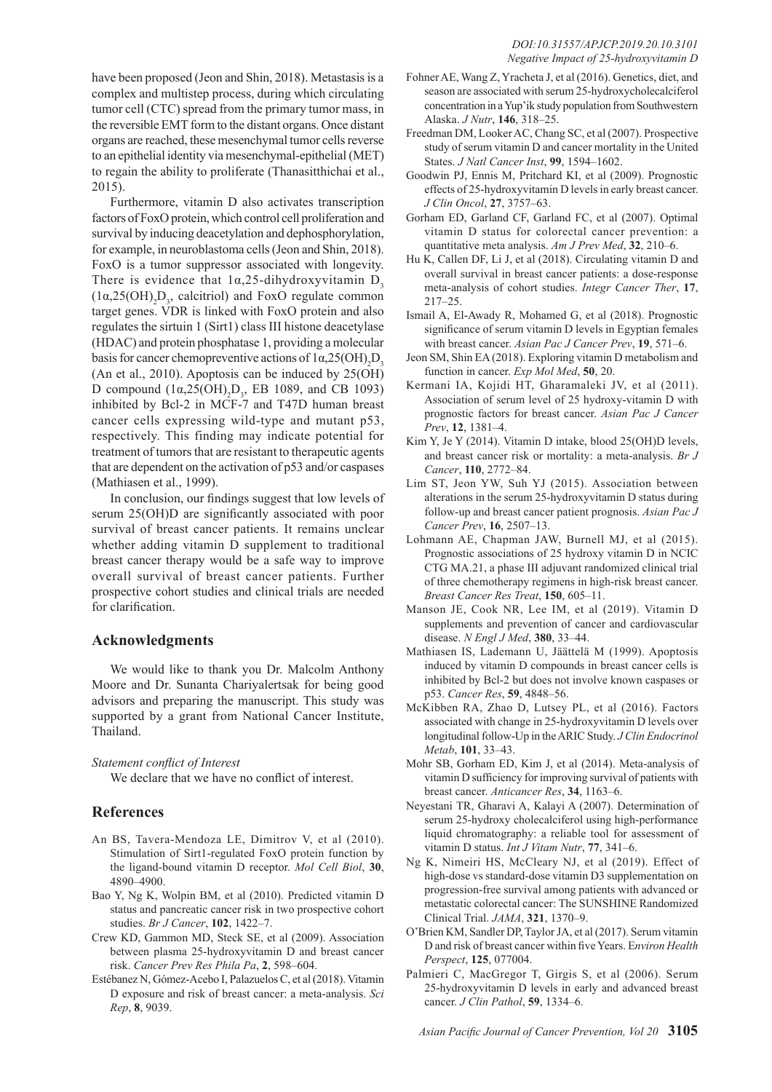have been proposed (Jeon and Shin, 2018). Metastasis is a complex and multistep process, during which circulating tumor cell (CTC) spread from the primary tumor mass, in the reversible EMT form to the distant organs. Once distant organs are reached, these mesenchymal tumor cells reverse to an epithelial identity via mesenchymal-epithelial (MET) to regain the ability to proliferate (Thanasitthichai et al., 2015).

Furthermore, vitamin D also activates transcription factors of FoxO protein, which control cell proliferation and survival by inducing deacetylation and dephosphorylation, for example, in neuroblastoma cells (Jeon and Shin, 2018). FoxO is a tumor suppressor associated with longevity. There is evidence that  $1\alpha$ , 25-dihydroxyvitamin D<sub>3</sub>  $(1\alpha, 25(OH)_{2}D_{3}$ , calcitriol) and FoxO regulate common target genes. VDR is linked with FoxO protein and also regulates the sirtuin 1 (Sirt1) class III histone deacetylase (HDAC) and protein phosphatase 1, providing a molecular basis for cancer chemopreventive actions of  $1\alpha, 25(OH)_2D_3$ (An et al., 2010). Apoptosis can be induced by 25(OH) D compound  $(1\alpha, 25(OH))_2D_3$ , EB 1089, and CB 1093) inhibited by Bcl-2 in MCF-7 and T47D human breast cancer cells expressing wild-type and mutant p53, respectively. This finding may indicate potential for treatment of tumors that are resistant to therapeutic agents that are dependent on the activation of p53 and/or caspases (Mathiasen et al., 1999).

In conclusion, our findings suggest that low levels of serum 25(OH)D are significantly associated with poor survival of breast cancer patients. It remains unclear whether adding vitamin D supplement to traditional breast cancer therapy would be a safe way to improve overall survival of breast cancer patients. Further prospective cohort studies and clinical trials are needed for clarification.

### **Acknowledgments**

We would like to thank you Dr. Malcolm Anthony Moore and Dr. Sunanta Chariyalertsak for being good advisors and preparing the manuscript. This study was supported by a grant from National Cancer Institute, Thailand.

#### *Statement conflict of Interest*

We declare that we have no conflict of interest.

# **References**

- An BS, Tavera-Mendoza LE, Dimitrov V, et al (2010). Stimulation of Sirt1-regulated FoxO protein function by the ligand-bound vitamin D receptor. *Mol Cell Biol*, **30**, 4890–4900.
- Bao Y, Ng K, Wolpin BM, et al (2010). Predicted vitamin D status and pancreatic cancer risk in two prospective cohort studies. *Br J Cancer*, **102**, 1422–7.
- Crew KD, Gammon MD, Steck SE, et al (2009). Association between plasma 25-hydroxyvitamin D and breast cancer risk. *Cancer Prev Res Phila Pa*, **2**, 598–604.
- Estébanez N, Gómez-Acebo I, Palazuelos C, et al (2018). Vitamin D exposure and risk of breast cancer: a meta-analysis. *Sci Rep*, **8**, 9039.
- Fohner AE, Wang Z, Yracheta J, et al (2016). Genetics, diet, and season are associated with serum 25-hydroxycholecalciferol concentration in a Yup'ik study population from Southwestern Alaska. *J Nutr*, **146**, 318–25.
- Freedman DM, Looker AC, Chang SC, et al (2007). Prospective study of serum vitamin D and cancer mortality in the United States. *J Natl Cancer Inst*, **99**, 1594–1602.
- Goodwin PJ, Ennis M, Pritchard KI, et al (2009). Prognostic effects of 25-hydroxyvitamin D levels in early breast cancer. *J Clin Oncol*, **27**, 3757–63.
- Gorham ED, Garland CF, Garland FC, et al (2007). Optimal vitamin D status for colorectal cancer prevention: a quantitative meta analysis. *Am J Prev Med*, **32**, 210–6.
- Hu K, Callen DF, Li J, et al (2018). Circulating vitamin D and overall survival in breast cancer patients: a dose-response meta-analysis of cohort studies. *Integr Cancer Ther*, **17**, 217–25.
- Ismail A, El-Awady R, Mohamed G, et al (2018). Prognostic significance of serum vitamin D levels in Egyptian females with breast cancer. *Asian Pac J Cancer Prev*, **19**, 571–6.
- Jeon SM, Shin EA (2018). Exploring vitamin D metabolism and function in cancer. *Exp Mol Med*, **50**, 20.
- Kermani IA, Kojidi HT, Gharamaleki JV, et al (2011). Association of serum level of 25 hydroxy-vitamin D with prognostic factors for breast cancer. *Asian Pac J Cancer Prev*, **12**, 1381–4.
- Kim Y, Je Y (2014). Vitamin D intake, blood 25(OH)D levels, and breast cancer risk or mortality: a meta-analysis. *Br J Cancer*, **110**, 2772–84.
- Lim ST, Jeon YW, Suh YJ (2015). Association between alterations in the serum 25-hydroxyvitamin D status during follow-up and breast cancer patient prognosis. *Asian Pac J Cancer Prev*, **16**, 2507–13.
- Lohmann AE, Chapman JAW, Burnell MJ, et al (2015). Prognostic associations of 25 hydroxy vitamin D in NCIC CTG MA.21, a phase III adjuvant randomized clinical trial of three chemotherapy regimens in high-risk breast cancer. *Breast Cancer Res Treat*, **150**, 605–11.
- Manson JE, Cook NR, Lee IM, et al (2019). Vitamin D supplements and prevention of cancer and cardiovascular disease. *N Engl J Med*, **380**, 33–44.
- Mathiasen IS, Lademann U, Jäättelä M (1999). Apoptosis induced by vitamin D compounds in breast cancer cells is inhibited by Bcl-2 but does not involve known caspases or p53. *Cancer Res*, **59**, 4848–56.
- McKibben RA, Zhao D, Lutsey PL, et al (2016). Factors associated with change in 25-hydroxyvitamin D levels over longitudinal follow-Up in the ARIC Study. *J Clin Endocrinol Metab*, **101**, 33–43.
- Mohr SB, Gorham ED, Kim J, et al (2014). Meta-analysis of vitamin D sufficiency for improving survival of patients with breast cancer. *Anticancer Res*, **34**, 1163–6.
- Neyestani TR, Gharavi A, Kalayi A (2007). Determination of serum 25-hydroxy cholecalciferol using high-performance liquid chromatography: a reliable tool for assessment of vitamin D status. *Int J Vitam Nutr*, **77**, 341–6.
- Ng K, Nimeiri HS, McCleary NJ, et al (2019). Effect of high-dose vs standard-dose vitamin D3 supplementation on progression-free survival among patients with advanced or metastatic colorectal cancer: The SUNSHINE Randomized Clinical Trial. *JAMA*, **321**, 1370–9.
- O'Brien KM, Sandler DP, Taylor JA, et al (2017). Serum vitamin D and risk of breast cancer within five Years. E*nviron Health Perspect*, **125**, 077004.
- Palmieri C, MacGregor T, Girgis S, et al (2006). Serum 25-hydroxyvitamin D levels in early and advanced breast cancer. *J Clin Pathol*, **59**, 1334–6.